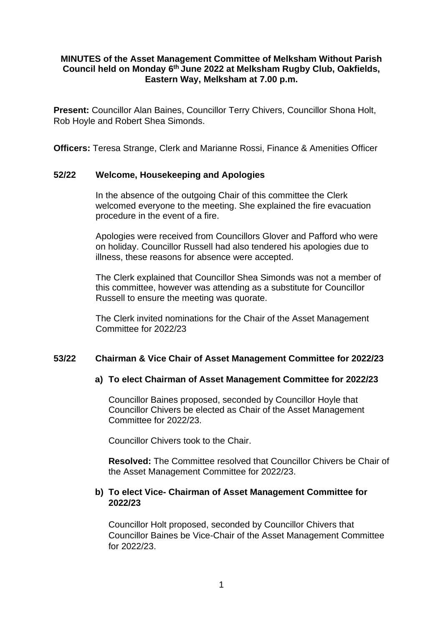## **MINUTES of the Asset Management Committee of Melksham Without Parish Council held on Monday 6 th June 2022 at Melksham Rugby Club, Oakfields, Eastern Way, Melksham at 7.00 p.m.**

**Present:** Councillor Alan Baines, Councillor Terry Chivers, Councillor Shona Holt, Rob Hoyle and Robert Shea Simonds.

**Officers:** Teresa Strange, Clerk and Marianne Rossi, Finance & Amenities Officer

### **52/22 Welcome, Housekeeping and Apologies**

In the absence of the outgoing Chair of this committee the Clerk welcomed everyone to the meeting. She explained the fire evacuation procedure in the event of a fire.

Apologies were received from Councillors Glover and Pafford who were on holiday. Councillor Russell had also tendered his apologies due to illness, these reasons for absence were accepted.

The Clerk explained that Councillor Shea Simonds was not a member of this committee, however was attending as a substitute for Councillor Russell to ensure the meeting was quorate.

The Clerk invited nominations for the Chair of the Asset Management Committee for 2022/23

## **53/22 Chairman & Vice Chair of Asset Management Committee for 2022/23**

#### **a) To elect Chairman of Asset Management Committee for 2022/23**

Councillor Baines proposed, seconded by Councillor Hoyle that Councillor Chivers be elected as Chair of the Asset Management Committee for 2022/23.

Councillor Chivers took to the Chair.

**Resolved:** The Committee resolved that Councillor Chivers be Chair of the Asset Management Committee for 2022/23.

# **b) To elect Vice- Chairman of Asset Management Committee for 2022/23**

Councillor Holt proposed, seconded by Councillor Chivers that Councillor Baines be Vice-Chair of the Asset Management Committee for 2022/23.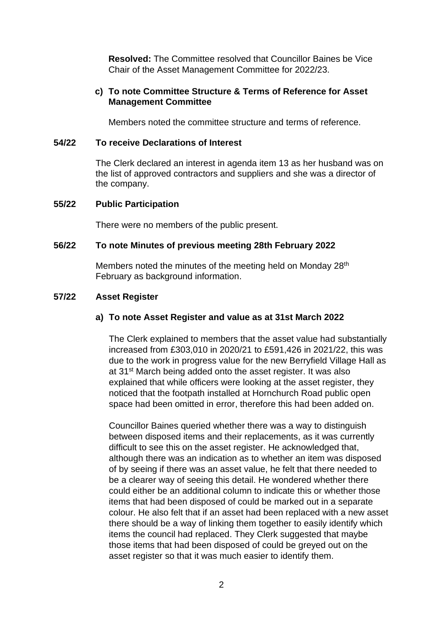**Resolved:** The Committee resolved that Councillor Baines be Vice Chair of the Asset Management Committee for 2022/23.

### **c) To note Committee Structure & Terms of Reference for Asset Management Committee**

Members noted the committee structure and terms of reference.

#### **54/22 To receive Declarations of Interest**

The Clerk declared an interest in agenda item 13 as her husband was on the list of approved contractors and suppliers and she was a director of the company.

#### **55/22 Public Participation**

There were no members of the public present.

## **56/22 To note Minutes of previous meeting 28th February 2022**

Members noted the minutes of the meeting held on Monday 28<sup>th</sup> February as background information.

#### **57/22 Asset Register**

### **a) To note Asset Register and value as at 31st March 2022**

The Clerk explained to members that the asset value had substantially increased from £303,010 in 2020/21 to £591,426 in 2021/22, this was due to the work in progress value for the new Berryfield Village Hall as at 31<sup>st</sup> March being added onto the asset register. It was also explained that while officers were looking at the asset register, they noticed that the footpath installed at Hornchurch Road public open space had been omitted in error, therefore this had been added on.

Councillor Baines queried whether there was a way to distinguish between disposed items and their replacements, as it was currently difficult to see this on the asset register. He acknowledged that, although there was an indication as to whether an item was disposed of by seeing if there was an asset value, he felt that there needed to be a clearer way of seeing this detail. He wondered whether there could either be an additional column to indicate this or whether those items that had been disposed of could be marked out in a separate colour. He also felt that if an asset had been replaced with a new asset there should be a way of linking them together to easily identify which items the council had replaced. They Clerk suggested that maybe those items that had been disposed of could be greyed out on the asset register so that it was much easier to identify them.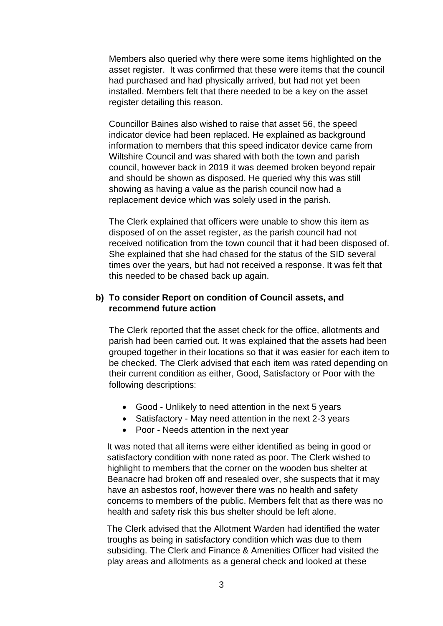Members also queried why there were some items highlighted on the asset register. It was confirmed that these were items that the council had purchased and had physically arrived, but had not yet been installed. Members felt that there needed to be a key on the asset register detailing this reason.

Councillor Baines also wished to raise that asset 56, the speed indicator device had been replaced. He explained as background information to members that this speed indicator device came from Wiltshire Council and was shared with both the town and parish council, however back in 2019 it was deemed broken beyond repair and should be shown as disposed. He queried why this was still showing as having a value as the parish council now had a replacement device which was solely used in the parish.

The Clerk explained that officers were unable to show this item as disposed of on the asset register, as the parish council had not received notification from the town council that it had been disposed of. She explained that she had chased for the status of the SID several times over the years, but had not received a response. It was felt that this needed to be chased back up again.

## **b) To consider Report on condition of Council assets, and recommend future action**

The Clerk reported that the asset check for the office, allotments and parish had been carried out. It was explained that the assets had been grouped together in their locations so that it was easier for each item to be checked. The Clerk advised that each item was rated depending on their current condition as either, Good, Satisfactory or Poor with the following descriptions:

- Good Unlikely to need attention in the next 5 years
- Satisfactory May need attention in the next 2-3 years
- Poor Needs attention in the next year

It was noted that all items were either identified as being in good or satisfactory condition with none rated as poor. The Clerk wished to highlight to members that the corner on the wooden bus shelter at Beanacre had broken off and resealed over, she suspects that it may have an asbestos roof, however there was no health and safety concerns to members of the public. Members felt that as there was no health and safety risk this bus shelter should be left alone.

The Clerk advised that the Allotment Warden had identified the water troughs as being in satisfactory condition which was due to them subsiding. The Clerk and Finance & Amenities Officer had visited the play areas and allotments as a general check and looked at these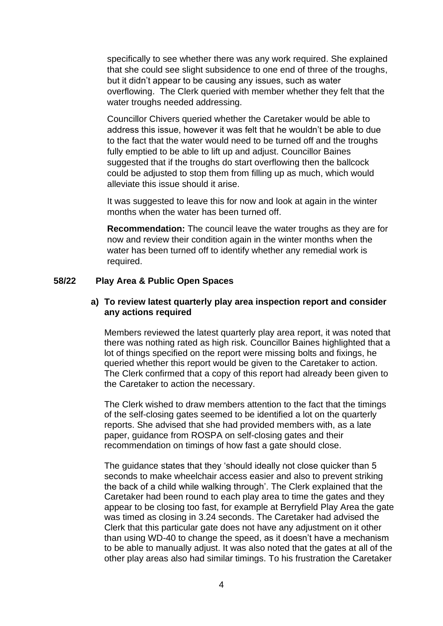specifically to see whether there was any work required. She explained that she could see slight subsidence to one end of three of the troughs, but it didn't appear to be causing any issues, such as water overflowing. The Clerk queried with member whether they felt that the water troughs needed addressing.

Councillor Chivers queried whether the Caretaker would be able to address this issue, however it was felt that he wouldn't be able to due to the fact that the water would need to be turned off and the troughs fully emptied to be able to lift up and adjust. Councillor Baines suggested that if the troughs do start overflowing then the ballcock could be adjusted to stop them from filling up as much, which would alleviate this issue should it arise.

It was suggested to leave this for now and look at again in the winter months when the water has been turned off.

**Recommendation:** The council leave the water troughs as they are for now and review their condition again in the winter months when the water has been turned off to identify whether any remedial work is required.

## **58/22 Play Area & Public Open Spaces**

### **a) To review latest quarterly play area inspection report and consider any actions required**

Members reviewed the latest quarterly play area report, it was noted that there was nothing rated as high risk. Councillor Baines highlighted that a lot of things specified on the report were missing bolts and fixings, he queried whether this report would be given to the Caretaker to action. The Clerk confirmed that a copy of this report had already been given to the Caretaker to action the necessary.

The Clerk wished to draw members attention to the fact that the timings of the self-closing gates seemed to be identified a lot on the quarterly reports. She advised that she had provided members with, as a late paper, guidance from ROSPA on self-closing gates and their recommendation on timings of how fast a gate should close.

The guidance states that they 'should ideally not close quicker than 5 seconds to make wheelchair access easier and also to prevent striking the back of a child while walking through'. The Clerk explained that the Caretaker had been round to each play area to time the gates and they appear to be closing too fast, for example at Berryfield Play Area the gate was timed as closing in 3.24 seconds. The Caretaker had advised the Clerk that this particular gate does not have any adjustment on it other than using WD-40 to change the speed, as it doesn't have a mechanism to be able to manually adjust. It was also noted that the gates at all of the other play areas also had similar timings. To his frustration the Caretaker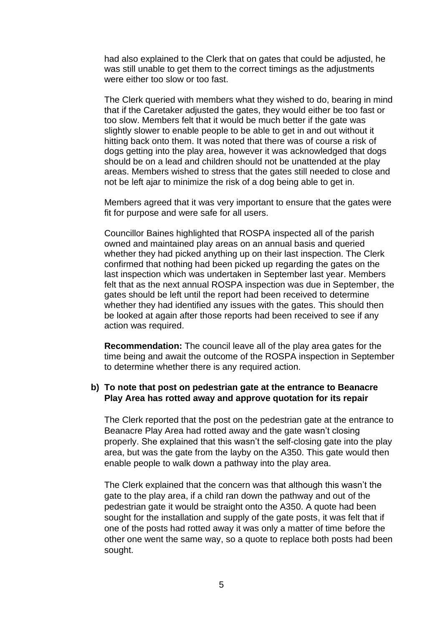had also explained to the Clerk that on gates that could be adjusted, he was still unable to get them to the correct timings as the adjustments were either too slow or too fast.

The Clerk queried with members what they wished to do, bearing in mind that if the Caretaker adjusted the gates, they would either be too fast or too slow. Members felt that it would be much better if the gate was slightly slower to enable people to be able to get in and out without it hitting back onto them. It was noted that there was of course a risk of dogs getting into the play area, however it was acknowledged that dogs should be on a lead and children should not be unattended at the play areas. Members wished to stress that the gates still needed to close and not be left ajar to minimize the risk of a dog being able to get in.

Members agreed that it was very important to ensure that the gates were fit for purpose and were safe for all users.

Councillor Baines highlighted that ROSPA inspected all of the parish owned and maintained play areas on an annual basis and queried whether they had picked anything up on their last inspection. The Clerk confirmed that nothing had been picked up regarding the gates on the last inspection which was undertaken in September last year. Members felt that as the next annual ROSPA inspection was due in September, the gates should be left until the report had been received to determine whether they had identified any issues with the gates. This should then be looked at again after those reports had been received to see if any action was required.

**Recommendation:** The council leave all of the play area gates for the time being and await the outcome of the ROSPA inspection in September to determine whether there is any required action.

# **b) To note that post on pedestrian gate at the entrance to Beanacre Play Area has rotted away and approve quotation for its repair**

The Clerk reported that the post on the pedestrian gate at the entrance to Beanacre Play Area had rotted away and the gate wasn't closing properly. She explained that this wasn't the self-closing gate into the play area, but was the gate from the layby on the A350. This gate would then enable people to walk down a pathway into the play area.

The Clerk explained that the concern was that although this wasn't the gate to the play area, if a child ran down the pathway and out of the pedestrian gate it would be straight onto the A350. A quote had been sought for the installation and supply of the gate posts, it was felt that if one of the posts had rotted away it was only a matter of time before the other one went the same way, so a quote to replace both posts had been sought.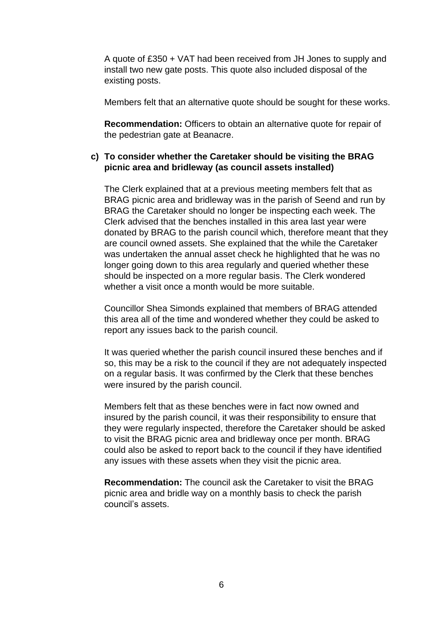A quote of £350 + VAT had been received from JH Jones to supply and install two new gate posts. This quote also included disposal of the existing posts.

Members felt that an alternative quote should be sought for these works.

**Recommendation:** Officers to obtain an alternative quote for repair of the pedestrian gate at Beanacre.

# **c) To consider whether the Caretaker should be visiting the BRAG picnic area and bridleway (as council assets installed)**

The Clerk explained that at a previous meeting members felt that as BRAG picnic area and bridleway was in the parish of Seend and run by BRAG the Caretaker should no longer be inspecting each week. The Clerk advised that the benches installed in this area last year were donated by BRAG to the parish council which, therefore meant that they are council owned assets. She explained that the while the Caretaker was undertaken the annual asset check he highlighted that he was no longer going down to this area regularly and queried whether these should be inspected on a more regular basis. The Clerk wondered whether a visit once a month would be more suitable.

Councillor Shea Simonds explained that members of BRAG attended this area all of the time and wondered whether they could be asked to report any issues back to the parish council.

It was queried whether the parish council insured these benches and if so, this may be a risk to the council if they are not adequately inspected on a regular basis. It was confirmed by the Clerk that these benches were insured by the parish council.

Members felt that as these benches were in fact now owned and insured by the parish council, it was their responsibility to ensure that they were regularly inspected, therefore the Caretaker should be asked to visit the BRAG picnic area and bridleway once per month. BRAG could also be asked to report back to the council if they have identified any issues with these assets when they visit the picnic area.

**Recommendation:** The council ask the Caretaker to visit the BRAG picnic area and bridle way on a monthly basis to check the parish council's assets.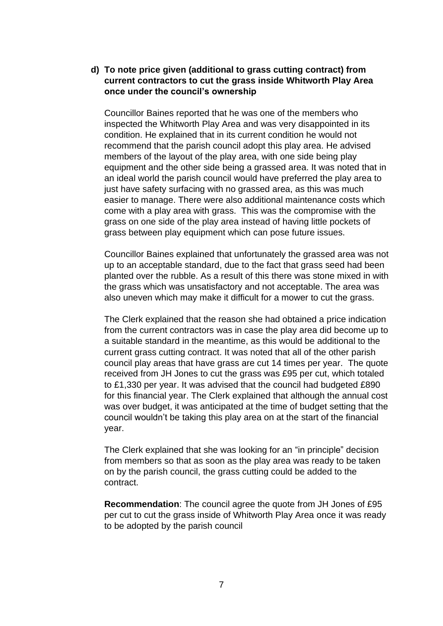# **d) To note price given (additional to grass cutting contract) from current contractors to cut the grass inside Whitworth Play Area once under the council's ownership**

Councillor Baines reported that he was one of the members who inspected the Whitworth Play Area and was very disappointed in its condition. He explained that in its current condition he would not recommend that the parish council adopt this play area. He advised members of the layout of the play area, with one side being play equipment and the other side being a grassed area. It was noted that in an ideal world the parish council would have preferred the play area to just have safety surfacing with no grassed area, as this was much easier to manage. There were also additional maintenance costs which come with a play area with grass. This was the compromise with the grass on one side of the play area instead of having little pockets of grass between play equipment which can pose future issues.

Councillor Baines explained that unfortunately the grassed area was not up to an acceptable standard, due to the fact that grass seed had been planted over the rubble. As a result of this there was stone mixed in with the grass which was unsatisfactory and not acceptable. The area was also uneven which may make it difficult for a mower to cut the grass.

The Clerk explained that the reason she had obtained a price indication from the current contractors was in case the play area did become up to a suitable standard in the meantime, as this would be additional to the current grass cutting contract. It was noted that all of the other parish council play areas that have grass are cut 14 times per year. The quote received from JH Jones to cut the grass was £95 per cut, which totaled to £1,330 per year. It was advised that the council had budgeted £890 for this financial year. The Clerk explained that although the annual cost was over budget, it was anticipated at the time of budget setting that the council wouldn't be taking this play area on at the start of the financial year.

The Clerk explained that she was looking for an "in principle" decision from members so that as soon as the play area was ready to be taken on by the parish council, the grass cutting could be added to the contract.

**Recommendation**: The council agree the quote from JH Jones of £95 per cut to cut the grass inside of Whitworth Play Area once it was ready to be adopted by the parish council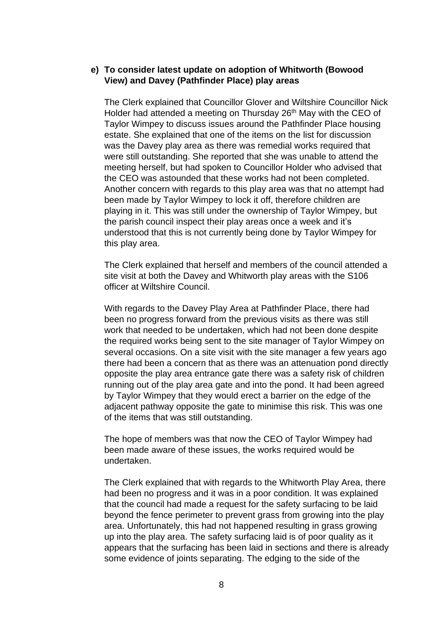## **e) To consider latest update on adoption of Whitworth (Bowood View) and Davey (Pathfinder Place) play areas**

The Clerk explained that Councillor Glover and Wiltshire Councillor Nick Holder had attended a meeting on Thursday 26<sup>th</sup> May with the CEO of Taylor Wimpey to discuss issues around the Pathfinder Place housing estate. She explained that one of the items on the list for discussion was the Davey play area as there was remedial works required that were still outstanding. She reported that she was unable to attend the meeting herself, but had spoken to Councillor Holder who advised that the CEO was astounded that these works had not been completed. Another concern with regards to this play area was that no attempt had been made by Taylor Wimpey to lock it off, therefore children are playing in it. This was still under the ownership of Taylor Wimpey, but the parish council inspect their play areas once a week and it's understood that this is not currently being done by Taylor Wimpey for this play area.

The Clerk explained that herself and members of the council attended a site visit at both the Davey and Whitworth play areas with the S106 officer at Wiltshire Council.

With regards to the Davey Play Area at Pathfinder Place, there had been no progress forward from the previous visits as there was still work that needed to be undertaken, which had not been done despite the required works being sent to the site manager of Taylor Wimpey on several occasions. On a site visit with the site manager a few years ago there had been a concern that as there was an attenuation pond directly opposite the play area entrance gate there was a safety risk of children running out of the play area gate and into the pond. It had been agreed by Taylor Wimpey that they would erect a barrier on the edge of the adjacent pathway opposite the gate to minimise this risk. This was one of the items that was still outstanding.

The hope of members was that now the CEO of Taylor Wimpey had been made aware of these issues, the works required would be undertaken.

The Clerk explained that with regards to the Whitworth Play Area, there had been no progress and it was in a poor condition. It was explained that the council had made a request for the safety surfacing to be laid beyond the fence perimeter to prevent grass from growing into the play area. Unfortunately, this had not happened resulting in grass growing up into the play area. The safety surfacing laid is of poor quality as it appears that the surfacing has been laid in sections and there is already some evidence of joints separating. The edging to the side of the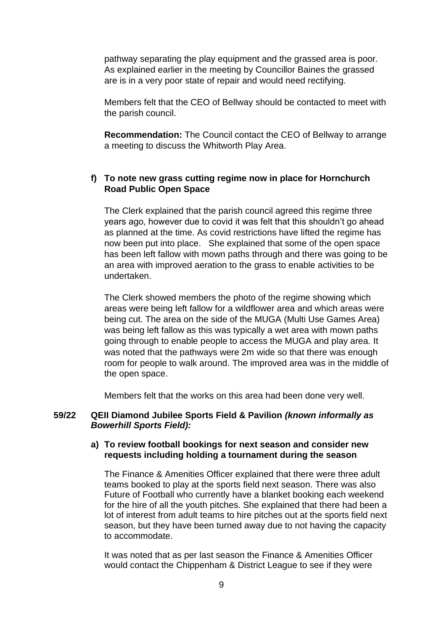pathway separating the play equipment and the grassed area is poor. As explained earlier in the meeting by Councillor Baines the grassed are is in a very poor state of repair and would need rectifying.

Members felt that the CEO of Bellway should be contacted to meet with the parish council.

**Recommendation:** The Council contact the CEO of Bellway to arrange a meeting to discuss the Whitworth Play Area.

# **f) To note new grass cutting regime now in place for Hornchurch Road Public Open Space**

The Clerk explained that the parish council agreed this regime three years ago, however due to covid it was felt that this shouldn't go ahead as planned at the time. As covid restrictions have lifted the regime has now been put into place. She explained that some of the open space has been left fallow with mown paths through and there was going to be an area with improved aeration to the grass to enable activities to be undertaken.

The Clerk showed members the photo of the regime showing which areas were being left fallow for a wildflower area and which areas were being cut. The area on the side of the MUGA (Multi Use Games Area) was being left fallow as this was typically a wet area with mown paths going through to enable people to access the MUGA and play area. It was noted that the pathways were 2m wide so that there was enough room for people to walk around. The improved area was in the middle of the open space.

Members felt that the works on this area had been done very well.

### **59/22 QEII Diamond Jubilee Sports Field & Pavilion** *(known informally as Bowerhill Sports Field):*

### **a) To review football bookings for next season and consider new requests including holding a tournament during the season**

The Finance & Amenities Officer explained that there were three adult teams booked to play at the sports field next season. There was also Future of Football who currently have a blanket booking each weekend for the hire of all the youth pitches. She explained that there had been a lot of interest from adult teams to hire pitches out at the sports field next season, but they have been turned away due to not having the capacity to accommodate.

It was noted that as per last season the Finance & Amenities Officer would contact the Chippenham & District League to see if they were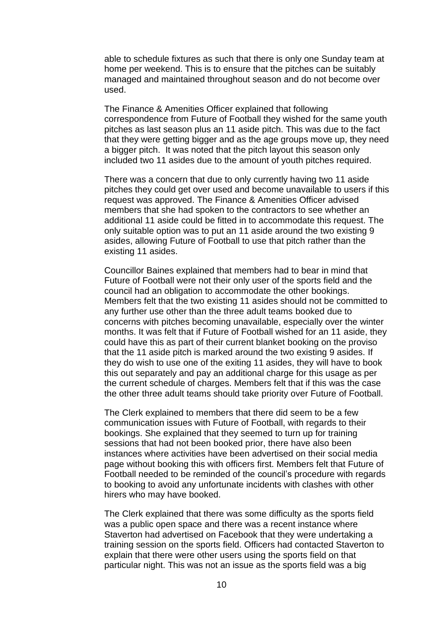able to schedule fixtures as such that there is only one Sunday team at home per weekend. This is to ensure that the pitches can be suitably managed and maintained throughout season and do not become over used.

The Finance & Amenities Officer explained that following correspondence from Future of Football they wished for the same youth pitches as last season plus an 11 aside pitch. This was due to the fact that they were getting bigger and as the age groups move up, they need a bigger pitch. It was noted that the pitch layout this season only included two 11 asides due to the amount of youth pitches required.

There was a concern that due to only currently having two 11 aside pitches they could get over used and become unavailable to users if this request was approved. The Finance & Amenities Officer advised members that she had spoken to the contractors to see whether an additional 11 aside could be fitted in to accommodate this request. The only suitable option was to put an 11 aside around the two existing 9 asides, allowing Future of Football to use that pitch rather than the existing 11 asides.

Councillor Baines explained that members had to bear in mind that Future of Football were not their only user of the sports field and the council had an obligation to accommodate the other bookings. Members felt that the two existing 11 asides should not be committed to any further use other than the three adult teams booked due to concerns with pitches becoming unavailable, especially over the winter months. It was felt that if Future of Football wished for an 11 aside, they could have this as part of their current blanket booking on the proviso that the 11 aside pitch is marked around the two existing 9 asides. If they do wish to use one of the exiting 11 asides, they will have to book this out separately and pay an additional charge for this usage as per the current schedule of charges. Members felt that if this was the case the other three adult teams should take priority over Future of Football.

The Clerk explained to members that there did seem to be a few communication issues with Future of Football, with regards to their bookings. She explained that they seemed to turn up for training sessions that had not been booked prior, there have also been instances where activities have been advertised on their social media page without booking this with officers first. Members felt that Future of Football needed to be reminded of the council's procedure with regards to booking to avoid any unfortunate incidents with clashes with other hirers who may have booked.

The Clerk explained that there was some difficulty as the sports field was a public open space and there was a recent instance where Staverton had advertised on Facebook that they were undertaking a training session on the sports field. Officers had contacted Staverton to explain that there were other users using the sports field on that particular night. This was not an issue as the sports field was a big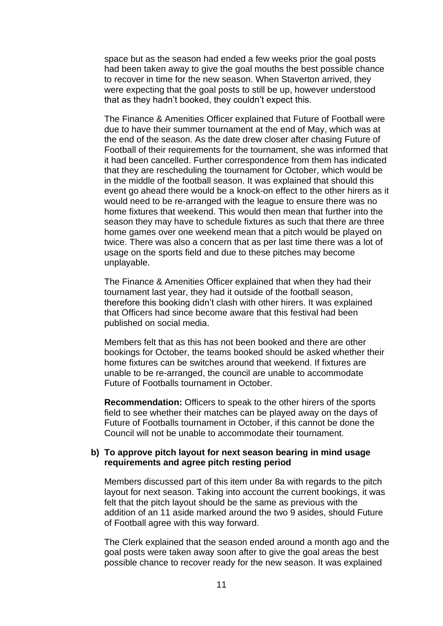space but as the season had ended a few weeks prior the goal posts had been taken away to give the goal mouths the best possible chance to recover in time for the new season. When Staverton arrived, they were expecting that the goal posts to still be up, however understood that as they hadn't booked, they couldn't expect this.

The Finance & Amenities Officer explained that Future of Football were due to have their summer tournament at the end of May, which was at the end of the season. As the date drew closer after chasing Future of Football of their requirements for the tournament, she was informed that it had been cancelled. Further correspondence from them has indicated that they are rescheduling the tournament for October, which would be in the middle of the football season. It was explained that should this event go ahead there would be a knock-on effect to the other hirers as it would need to be re-arranged with the league to ensure there was no home fixtures that weekend. This would then mean that further into the season they may have to schedule fixtures as such that there are three home games over one weekend mean that a pitch would be played on twice. There was also a concern that as per last time there was a lot of usage on the sports field and due to these pitches may become unplayable.

The Finance & Amenities Officer explained that when they had their tournament last year, they had it outside of the football season, therefore this booking didn't clash with other hirers. It was explained that Officers had since become aware that this festival had been published on social media.

Members felt that as this has not been booked and there are other bookings for October, the teams booked should be asked whether their home fixtures can be switches around that weekend. If fixtures are unable to be re-arranged, the council are unable to accommodate Future of Footballs tournament in October.

**Recommendation:** Officers to speak to the other hirers of the sports field to see whether their matches can be played away on the days of Future of Footballs tournament in October, if this cannot be done the Council will not be unable to accommodate their tournament.

### **b) To approve pitch layout for next season bearing in mind usage requirements and agree pitch resting period**

Members discussed part of this item under 8a with regards to the pitch layout for next season. Taking into account the current bookings, it was felt that the pitch layout should be the same as previous with the addition of an 11 aside marked around the two 9 asides, should Future of Football agree with this way forward.

The Clerk explained that the season ended around a month ago and the goal posts were taken away soon after to give the goal areas the best possible chance to recover ready for the new season. It was explained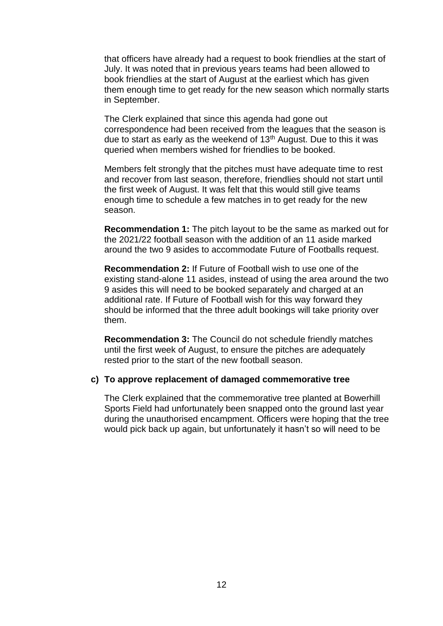that officers have already had a request to book friendlies at the start of July. It was noted that in previous years teams had been allowed to book friendlies at the start of August at the earliest which has given them enough time to get ready for the new season which normally starts in September.

The Clerk explained that since this agenda had gone out correspondence had been received from the leagues that the season is due to start as early as the weekend of 13<sup>th</sup> August. Due to this it was queried when members wished for friendlies to be booked.

Members felt strongly that the pitches must have adequate time to rest and recover from last season, therefore, friendlies should not start until the first week of August. It was felt that this would still give teams enough time to schedule a few matches in to get ready for the new season.

**Recommendation 1:** The pitch layout to be the same as marked out for the 2021/22 football season with the addition of an 11 aside marked around the two 9 asides to accommodate Future of Footballs request.

**Recommendation 2:** If Future of Football wish to use one of the existing stand-alone 11 asides, instead of using the area around the two 9 asides this will need to be booked separately and charged at an additional rate. If Future of Football wish for this way forward they should be informed that the three adult bookings will take priority over them.

**Recommendation 3:** The Council do not schedule friendly matches until the first week of August, to ensure the pitches are adequately rested prior to the start of the new football season.

#### **c) To approve replacement of damaged commemorative tree**

The Clerk explained that the commemorative tree planted at Bowerhill Sports Field had unfortunately been snapped onto the ground last year during the unauthorised encampment. Officers were hoping that the tree would pick back up again, but unfortunately it hasn't so will need to be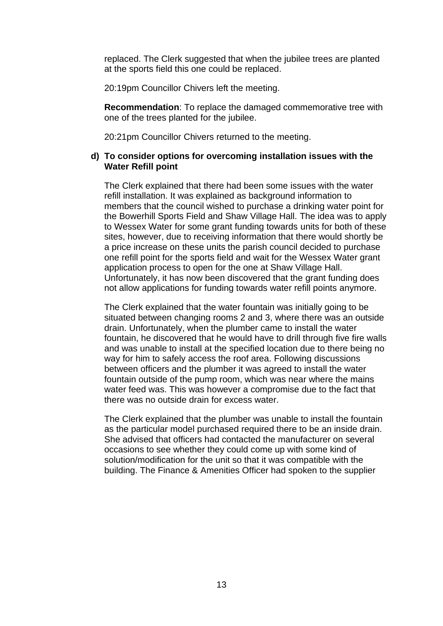replaced. The Clerk suggested that when the jubilee trees are planted at the sports field this one could be replaced.

20:19pm Councillor Chivers left the meeting.

**Recommendation**: To replace the damaged commemorative tree with one of the trees planted for the jubilee.

20:21pm Councillor Chivers returned to the meeting.

## **d) To consider options for overcoming installation issues with the Water Refill point**

The Clerk explained that there had been some issues with the water refill installation. It was explained as background information to members that the council wished to purchase a drinking water point for the Bowerhill Sports Field and Shaw Village Hall. The idea was to apply to Wessex Water for some grant funding towards units for both of these sites, however, due to receiving information that there would shortly be a price increase on these units the parish council decided to purchase one refill point for the sports field and wait for the Wessex Water grant application process to open for the one at Shaw Village Hall. Unfortunately, it has now been discovered that the grant funding does not allow applications for funding towards water refill points anymore.

The Clerk explained that the water fountain was initially going to be situated between changing rooms 2 and 3, where there was an outside drain. Unfortunately, when the plumber came to install the water fountain, he discovered that he would have to drill through five fire walls and was unable to install at the specified location due to there being no way for him to safely access the roof area. Following discussions between officers and the plumber it was agreed to install the water fountain outside of the pump room, which was near where the mains water feed was. This was however a compromise due to the fact that there was no outside drain for excess water.

The Clerk explained that the plumber was unable to install the fountain as the particular model purchased required there to be an inside drain. She advised that officers had contacted the manufacturer on several occasions to see whether they could come up with some kind of solution/modification for the unit so that it was compatible with the building. The Finance & Amenities Officer had spoken to the supplier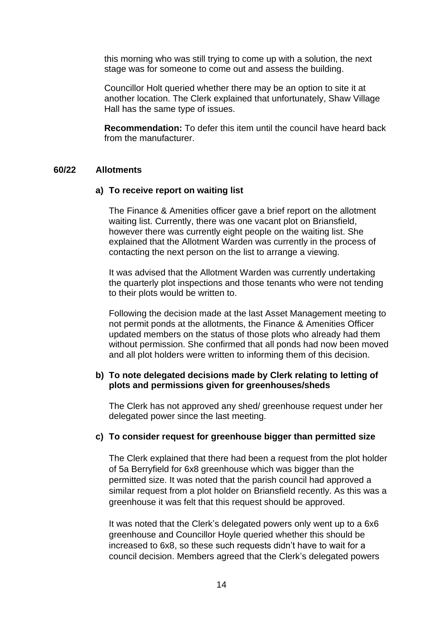this morning who was still trying to come up with a solution, the next stage was for someone to come out and assess the building.

Councillor Holt queried whether there may be an option to site it at another location. The Clerk explained that unfortunately, Shaw Village Hall has the same type of issues.

**Recommendation:** To defer this item until the council have heard back from the manufacturer.

#### **60/22 Allotments**

#### **a) To receive report on waiting list**

The Finance & Amenities officer gave a brief report on the allotment waiting list. Currently, there was one vacant plot on Briansfield, however there was currently eight people on the waiting list. She explained that the Allotment Warden was currently in the process of contacting the next person on the list to arrange a viewing.

It was advised that the Allotment Warden was currently undertaking the quarterly plot inspections and those tenants who were not tending to their plots would be written to.

Following the decision made at the last Asset Management meeting to not permit ponds at the allotments, the Finance & Amenities Officer updated members on the status of those plots who already had them without permission. She confirmed that all ponds had now been moved and all plot holders were written to informing them of this decision.

### **b) To note delegated decisions made by Clerk relating to letting of plots and permissions given for greenhouses/sheds**

The Clerk has not approved any shed/ greenhouse request under her delegated power since the last meeting.

#### **c) To consider request for greenhouse bigger than permitted size**

The Clerk explained that there had been a request from the plot holder of 5a Berryfield for 6x8 greenhouse which was bigger than the permitted size. It was noted that the parish council had approved a similar request from a plot holder on Briansfield recently. As this was a greenhouse it was felt that this request should be approved.

It was noted that the Clerk's delegated powers only went up to a 6x6 greenhouse and Councillor Hoyle queried whether this should be increased to 6x8, so these such requests didn't have to wait for a council decision. Members agreed that the Clerk's delegated powers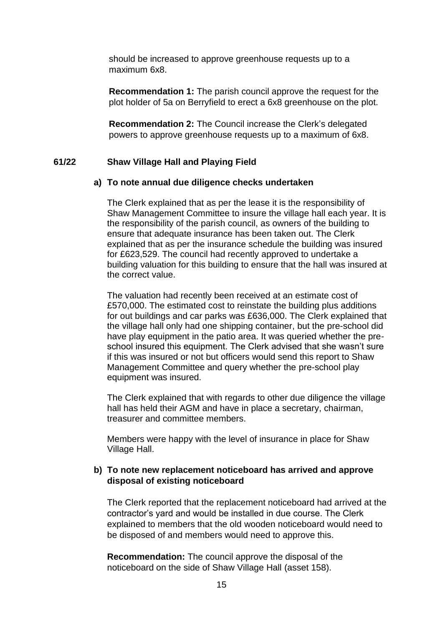should be increased to approve greenhouse requests up to a maximum 6x8.

**Recommendation 1:** The parish council approve the request for the plot holder of 5a on Berryfield to erect a 6x8 greenhouse on the plot.

**Recommendation 2:** The Council increase the Clerk's delegated powers to approve greenhouse requests up to a maximum of 6x8.

#### **61/22 Shaw Village Hall and Playing Field**

#### **a) To note annual due diligence checks undertaken**

The Clerk explained that as per the lease it is the responsibility of Shaw Management Committee to insure the village hall each year. It is the responsibility of the parish council, as owners of the building to ensure that adequate insurance has been taken out. The Clerk explained that as per the insurance schedule the building was insured for £623,529. The council had recently approved to undertake a building valuation for this building to ensure that the hall was insured at the correct value.

The valuation had recently been received at an estimate cost of £570,000. The estimated cost to reinstate the building plus additions for out buildings and car parks was £636,000. The Clerk explained that the village hall only had one shipping container, but the pre-school did have play equipment in the patio area. It was queried whether the preschool insured this equipment. The Clerk advised that she wasn't sure if this was insured or not but officers would send this report to Shaw Management Committee and query whether the pre-school play equipment was insured.

The Clerk explained that with regards to other due diligence the village hall has held their AGM and have in place a secretary, chairman, treasurer and committee members.

Members were happy with the level of insurance in place for Shaw Village Hall.

# **b) To note new replacement noticeboard has arrived and approve disposal of existing noticeboard**

The Clerk reported that the replacement noticeboard had arrived at the contractor's yard and would be installed in due course. The Clerk explained to members that the old wooden noticeboard would need to be disposed of and members would need to approve this.

**Recommendation:** The council approve the disposal of the noticeboard on the side of Shaw Village Hall (asset 158).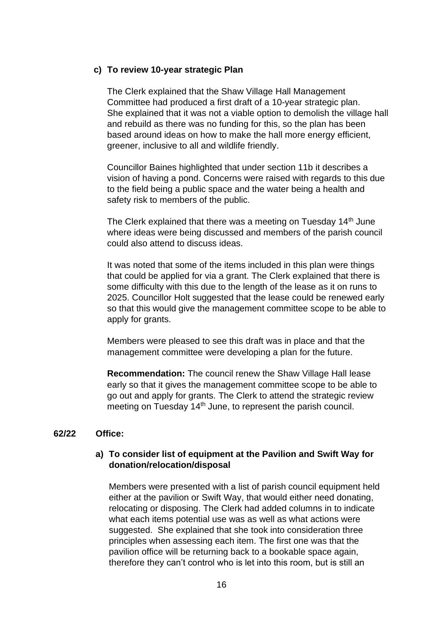## **c) To review 10-year strategic Plan**

The Clerk explained that the Shaw Village Hall Management Committee had produced a first draft of a 10-year strategic plan. She explained that it was not a viable option to demolish the village hall and rebuild as there was no funding for this, so the plan has been based around ideas on how to make the hall more energy efficient, greener, inclusive to all and wildlife friendly.

Councillor Baines highlighted that under section 11b it describes a vision of having a pond. Concerns were raised with regards to this due to the field being a public space and the water being a health and safety risk to members of the public.

The Clerk explained that there was a meeting on Tuesday 14<sup>th</sup> June where ideas were being discussed and members of the parish council could also attend to discuss ideas.

It was noted that some of the items included in this plan were things that could be applied for via a grant. The Clerk explained that there is some difficulty with this due to the length of the lease as it on runs to 2025. Councillor Holt suggested that the lease could be renewed early so that this would give the management committee scope to be able to apply for grants.

Members were pleased to see this draft was in place and that the management committee were developing a plan for the future.

**Recommendation:** The council renew the Shaw Village Hall lease early so that it gives the management committee scope to be able to go out and apply for grants. The Clerk to attend the strategic review meeting on Tuesday 14<sup>th</sup> June, to represent the parish council.

## **62/22 Office:**

# **a) To consider list of equipment at the Pavilion and Swift Way for donation/relocation/disposal**

Members were presented with a list of parish council equipment held either at the pavilion or Swift Way, that would either need donating, relocating or disposing. The Clerk had added columns in to indicate what each items potential use was as well as what actions were suggested. She explained that she took into consideration three principles when assessing each item. The first one was that the pavilion office will be returning back to a bookable space again, therefore they can't control who is let into this room, but is still an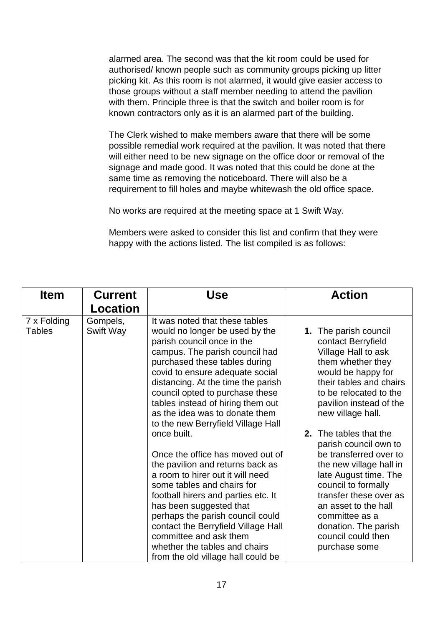alarmed area. The second was that the kit room could be used for authorised/ known people such as community groups picking up litter picking kit. As this room is not alarmed, it would give easier access to those groups without a staff member needing to attend the pavilion with them. Principle three is that the switch and boiler room is for known contractors only as it is an alarmed part of the building.

The Clerk wished to make members aware that there will be some possible remedial work required at the pavilion. It was noted that there will either need to be new signage on the office door or removal of the signage and made good. It was noted that this could be done at the same time as removing the noticeboard. There will also be a requirement to fill holes and maybe whitewash the old office space.

No works are required at the meeting space at 1 Swift Way.

Members were asked to consider this list and confirm that they were happy with the actions listed. The list compiled is as follows:

| <b>Item</b>                  | <b>Current</b>        | Use                                                                                                                                                                                                                                                                                                                                                                                  | <b>Action</b>                                                                                                                                                                                                                                                 |
|------------------------------|-----------------------|--------------------------------------------------------------------------------------------------------------------------------------------------------------------------------------------------------------------------------------------------------------------------------------------------------------------------------------------------------------------------------------|---------------------------------------------------------------------------------------------------------------------------------------------------------------------------------------------------------------------------------------------------------------|
|                              | Location              |                                                                                                                                                                                                                                                                                                                                                                                      |                                                                                                                                                                                                                                                               |
| 7 x Folding<br><b>Tables</b> | Gompels,<br>Swift Way | It was noted that these tables<br>would no longer be used by the<br>parish council once in the<br>campus. The parish council had<br>purchased these tables during<br>covid to ensure adequate social<br>distancing. At the time the parish<br>council opted to purchase these<br>tables instead of hiring them out<br>as the idea was to donate them                                 | The parish council<br>1.<br>contact Berryfield<br>Village Hall to ask<br>them whether they<br>would be happy for<br>their tables and chairs<br>to be relocated to the<br>pavilion instead of the<br>new village hall.                                         |
|                              |                       | to the new Berryfield Village Hall<br>once built.                                                                                                                                                                                                                                                                                                                                    | <b>2.</b> The tables that the                                                                                                                                                                                                                                 |
|                              |                       | Once the office has moved out of<br>the pavilion and returns back as<br>a room to hirer out it will need<br>some tables and chairs for<br>football hirers and parties etc. It<br>has been suggested that<br>perhaps the parish council could<br>contact the Berryfield Village Hall<br>committee and ask them<br>whether the tables and chairs<br>from the old village hall could be | parish council own to<br>be transferred over to<br>the new village hall in<br>late August time. The<br>council to formally<br>transfer these over as<br>an asset to the hall<br>committee as a<br>donation. The parish<br>council could then<br>purchase some |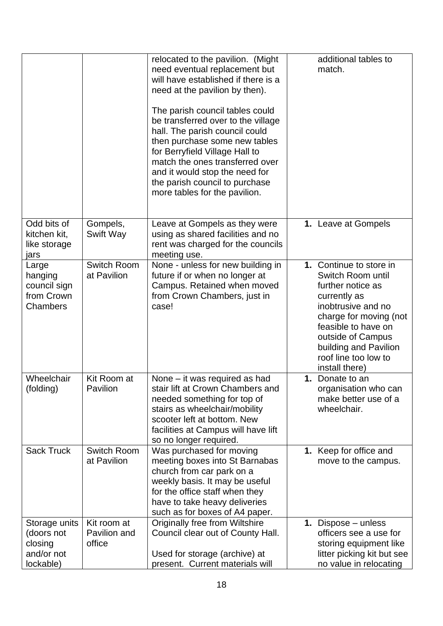|                                                                   |                                       | relocated to the pavilion. (Might<br>need eventual replacement but<br>will have established if there is a<br>need at the pavilion by then).<br>The parish council tables could<br>be transferred over to the village<br>hall. The parish council could<br>then purchase some new tables<br>for Berryfield Village Hall to<br>match the ones transferred over<br>and it would stop the need for<br>the parish council to purchase<br>more tables for the pavilion. | additional tables to<br>match.                                                                                                                                                                                                                   |
|-------------------------------------------------------------------|---------------------------------------|-------------------------------------------------------------------------------------------------------------------------------------------------------------------------------------------------------------------------------------------------------------------------------------------------------------------------------------------------------------------------------------------------------------------------------------------------------------------|--------------------------------------------------------------------------------------------------------------------------------------------------------------------------------------------------------------------------------------------------|
| Odd bits of<br>kitchen kit,<br>like storage<br>jars               | Gompels,<br>Swift Way                 | Leave at Gompels as they were<br>using as shared facilities and no<br>rent was charged for the councils<br>meeting use.                                                                                                                                                                                                                                                                                                                                           | 1. Leave at Gompels                                                                                                                                                                                                                              |
| Large<br>hanging<br>council sign<br>from Crown<br>Chambers        | Switch Room<br>at Pavilion            | None - unless for new building in<br>future if or when no longer at<br>Campus. Retained when moved<br>from Crown Chambers, just in<br>case!                                                                                                                                                                                                                                                                                                                       | 1. Continue to store in<br>Switch Room until<br>further notice as<br>currently as<br>inobtrusive and no<br>charge for moving (not<br>feasible to have on<br>outside of Campus<br>building and Pavilion<br>roof line too low to<br>install there) |
| Wheelchair<br>(folding)                                           | Kit Room at<br>Pavilion               | None – it was required as had<br>stair lift at Crown Chambers and<br>needed something for top of<br>stairs as wheelchair/mobility<br>scooter left at bottom. New<br>facilities at Campus will have lift<br>so no longer required.                                                                                                                                                                                                                                 | 1. Donate to an<br>organisation who can<br>make better use of a<br>wheelchair.                                                                                                                                                                   |
| <b>Sack Truck</b>                                                 | Switch Room<br>at Pavilion            | Was purchased for moving<br>meeting boxes into St Barnabas<br>church from car park on a<br>weekly basis. It may be useful<br>for the office staff when they<br>have to take heavy deliveries<br>such as for boxes of A4 paper.                                                                                                                                                                                                                                    | 1. Keep for office and<br>move to the campus.                                                                                                                                                                                                    |
| Storage units<br>(doors not<br>closing<br>and/or not<br>lockable) | Kit room at<br>Pavilion and<br>office | <b>Originally free from Wiltshire</b><br>Council clear out of County Hall.<br>Used for storage (archive) at<br>present. Current materials will                                                                                                                                                                                                                                                                                                                    | 1. Dispose – unless<br>officers see a use for<br>storing equipment like<br>litter picking kit but see<br>no value in relocating                                                                                                                  |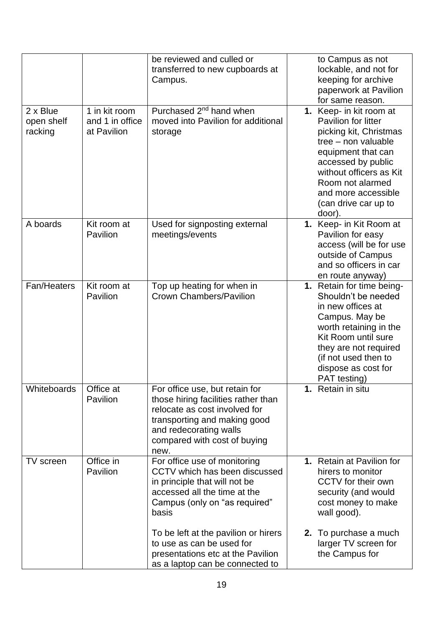|                                   |                                                 | be reviewed and culled or<br>transferred to new cupboards at<br>Campus.                                                                                                                                  | to Campus as not<br>lockable, and not for<br>keeping for archive<br>paperwork at Pavilion<br>for same reason.                                                                                                                                       |
|-----------------------------------|-------------------------------------------------|----------------------------------------------------------------------------------------------------------------------------------------------------------------------------------------------------------|-----------------------------------------------------------------------------------------------------------------------------------------------------------------------------------------------------------------------------------------------------|
| 2 x Blue<br>open shelf<br>racking | 1 in kit room<br>and 1 in office<br>at Pavilion | Purchased 2 <sup>nd</sup> hand when<br>moved into Pavilion for additional<br>storage                                                                                                                     | 1. Keep- in kit room at<br>Pavilion for litter<br>picking kit, Christmas<br>tree – non valuable<br>equipment that can<br>accessed by public<br>without officers as Kit<br>Room not alarmed<br>and more accessible<br>(can drive car up to<br>door). |
| A boards                          | Kit room at<br>Pavilion                         | Used for signposting external<br>meetings/events                                                                                                                                                         | 1. Keep- in Kit Room at<br>Pavilion for easy<br>access (will be for use<br>outside of Campus<br>and so officers in car<br>en route anyway)                                                                                                          |
| Fan/Heaters                       | Kit room at<br>Pavilion                         | Top up heating for when in<br><b>Crown Chambers/Pavilion</b>                                                                                                                                             | 1. Retain for time being-<br>Shouldn't be needed<br>in new offices at<br>Campus. May be<br>worth retaining in the<br>Kit Room until sure<br>they are not required<br>(if not used then to<br>dispose as cost for<br>PAT testing)                    |
| Whiteboards                       | Office at<br>Pavilion                           | For office use, but retain for<br>those hiring facilities rather than<br>relocate as cost involved for<br>transporting and making good<br>and redecorating walls<br>compared with cost of buying<br>new. | <b>1.</b> Retain in situ                                                                                                                                                                                                                            |
| TV screen                         | Office in<br>Pavilion                           | For office use of monitoring<br>CCTV which has been discussed<br>in principle that will not be<br>accessed all the time at the<br>Campus (only on "as required"<br>basis                                 | 1. Retain at Pavilion for<br>hirers to monitor<br>CCTV for their own<br>security (and would<br>cost money to make<br>wall good).                                                                                                                    |
|                                   |                                                 | To be left at the pavilion or hirers<br>to use as can be used for<br>presentations etc at the Pavilion<br>as a laptop can be connected to                                                                | 2. To purchase a much<br>larger TV screen for<br>the Campus for                                                                                                                                                                                     |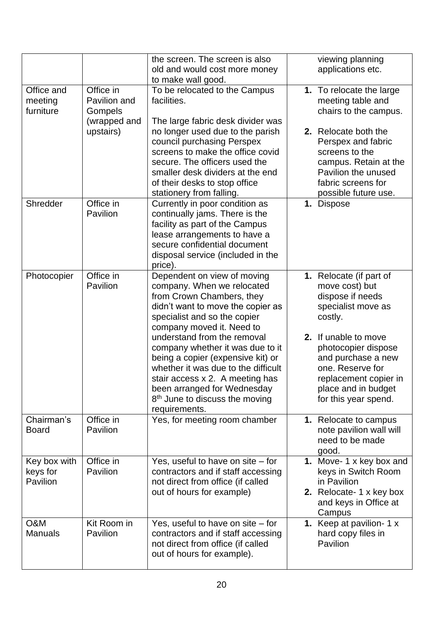|                                      |                                      | the screen. The screen is also<br>old and would cost more money<br>to make wall good.                                                                                                                                                                                        | viewing planning<br>applications etc.                                                                                                                         |
|--------------------------------------|--------------------------------------|------------------------------------------------------------------------------------------------------------------------------------------------------------------------------------------------------------------------------------------------------------------------------|---------------------------------------------------------------------------------------------------------------------------------------------------------------|
| Office and<br>meeting<br>furniture   | Office in<br>Pavilion and<br>Gompels | To be relocated to the Campus<br>facilities.                                                                                                                                                                                                                                 | 1. To relocate the large<br>meeting table and<br>chairs to the campus.                                                                                        |
|                                      | (wrapped and<br>upstairs)            | The large fabric desk divider was<br>no longer used due to the parish<br>council purchasing Perspex<br>screens to make the office covid<br>secure. The officers used the<br>smaller desk dividers at the end<br>of their desks to stop office<br>stationery from falling.    | 2. Relocate both the<br>Perspex and fabric<br>screens to the<br>campus. Retain at the<br>Pavilion the unused<br>fabric screens for<br>possible future use.    |
| Shredder                             | Office in<br>Pavilion                | Currently in poor condition as<br>continually jams. There is the<br>facility as part of the Campus<br>lease arrangements to have a<br>secure confidential document<br>disposal service (included in the<br>price).                                                           | 1. Dispose                                                                                                                                                    |
| Photocopier                          | Office in<br>Pavilion                | Dependent on view of moving<br>company. When we relocated<br>from Crown Chambers, they<br>didn't want to move the copier as<br>specialist and so the copier<br>company moved it. Need to                                                                                     | 1. Relocate (if part of<br>move cost) but<br>dispose if needs<br>specialist move as<br>costly.                                                                |
|                                      |                                      | understand from the removal<br>company whether it was due to it<br>being a copier (expensive kit) or<br>whether it was due to the difficult<br>stair access x 2. A meeting has<br>been arranged for Wednesday<br>8 <sup>th</sup> June to discuss the moving<br>requirements. | 2. If unable to move<br>photocopier dispose<br>and purchase a new<br>one. Reserve for<br>replacement copier in<br>place and in budget<br>for this year spend. |
| Chairman's<br><b>Board</b>           | Office in<br>Pavilion                | Yes, for meeting room chamber                                                                                                                                                                                                                                                | 1. Relocate to campus<br>note pavilion wall will<br>need to be made<br>good.                                                                                  |
| Key box with<br>keys for<br>Pavilion | Office in<br>Pavilion                | Yes, useful to have on site $-$ for<br>contractors and if staff accessing<br>not direct from office (if called<br>out of hours for example)                                                                                                                                  | 1. Move-1 x key box and<br>keys in Switch Room<br>in Pavilion<br>2. Relocate- 1 x key box<br>and keys in Office at<br>Campus                                  |
| O&M<br><b>Manuals</b>                | Kit Room in<br>Pavilion              | Yes, useful to have on site $-$ for<br>contractors and if staff accessing<br>not direct from office (if called<br>out of hours for example).                                                                                                                                 | 1. Keep at pavilion-1 x<br>hard copy files in<br>Pavilion                                                                                                     |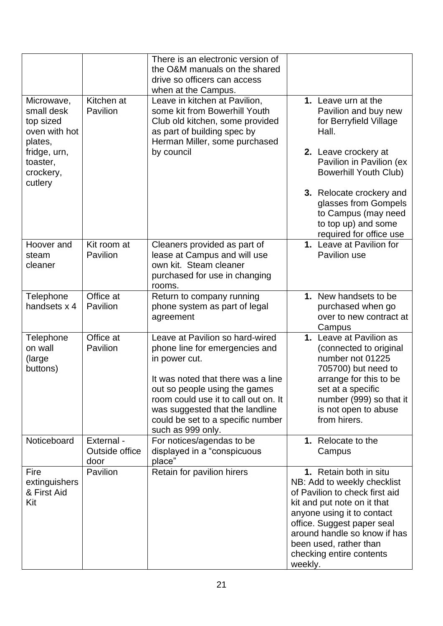|                                                                   |                                      | There is an electronic version of<br>the O&M manuals on the shared<br>drive so officers can access<br>when at the Campus.                                                                                                                                                                      |                                                                                                                                                                                                                                                                                     |
|-------------------------------------------------------------------|--------------------------------------|------------------------------------------------------------------------------------------------------------------------------------------------------------------------------------------------------------------------------------------------------------------------------------------------|-------------------------------------------------------------------------------------------------------------------------------------------------------------------------------------------------------------------------------------------------------------------------------------|
| Microwave,<br>small desk<br>top sized<br>oven with hot<br>plates, | Kitchen at<br>Pavilion               | Leave in kitchen at Pavilion,<br>some kit from Bowerhill Youth<br>Club old kitchen, some provided<br>as part of building spec by<br>Herman Miller, some purchased                                                                                                                              | 1. Leave urn at the<br>Pavilion and buy new<br>for Berryfield Village<br>Hall.                                                                                                                                                                                                      |
| fridge, urn,<br>toaster,<br>crockery,<br>cutlery                  |                                      | by council                                                                                                                                                                                                                                                                                     | 2. Leave crockery at<br>Pavilion in Pavilion (ex<br><b>Bowerhill Youth Club)</b>                                                                                                                                                                                                    |
|                                                                   |                                      |                                                                                                                                                                                                                                                                                                | 3. Relocate crockery and<br>glasses from Gompels<br>to Campus (may need<br>to top up) and some<br>required for office use                                                                                                                                                           |
| Hoover and<br>steam<br>cleaner                                    | Kit room at<br>Pavilion              | Cleaners provided as part of<br>lease at Campus and will use<br>own kit. Steam cleaner<br>purchased for use in changing<br>rooms.                                                                                                                                                              | 1. Leave at Pavilion for<br>Pavilion use                                                                                                                                                                                                                                            |
| Telephone<br>handsets x 4                                         | Office at<br>Pavilion                | Return to company running<br>phone system as part of legal<br>agreement                                                                                                                                                                                                                        | 1. New handsets to be<br>purchased when go<br>over to new contract at<br>Campus                                                                                                                                                                                                     |
| Telephone<br>on wall<br>(large<br>buttons)                        | Office at<br>Pavilion                | Leave at Pavilion so hard-wired<br>phone line for emergencies and<br>in power cut.<br>It was noted that there was a line<br>out so people using the games<br>room could use it to call out on. It<br>was suggested that the landline<br>could be set to a specific number<br>such as 999 only. | 1. Leave at Pavilion as<br>(connected to original<br>number not 01225<br>705700) but need to<br>arrange for this to be<br>set at a specific<br>number (999) so that it<br>is not open to abuse<br>from hirers.                                                                      |
| Noticeboard                                                       | External -<br>Outside office<br>door | For notices/agendas to be<br>displayed in a "conspicuous<br>place"                                                                                                                                                                                                                             | 1. Relocate to the<br>Campus                                                                                                                                                                                                                                                        |
| Fire<br>extinguishers<br>& First Aid<br>Kit                       | Pavilion                             | Retain for pavilion hirers                                                                                                                                                                                                                                                                     | 1. Retain both in situ<br>NB: Add to weekly checklist<br>of Pavilion to check first aid<br>kit and put note on it that<br>anyone using it to contact<br>office. Suggest paper seal<br>around handle so know if has<br>been used, rather than<br>checking entire contents<br>weekly. |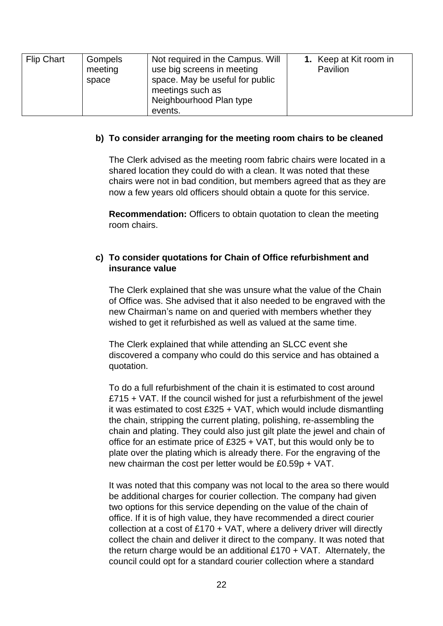| Flip Chart | Gompels<br>meeting<br>space | Not required in the Campus. Will<br>use big screens in meeting<br>space. May be useful for public<br>meetings such as<br>Neighbourhood Plan type<br>events. | 1. Keep at Kit room in<br><b>Pavilion</b> |
|------------|-----------------------------|-------------------------------------------------------------------------------------------------------------------------------------------------------------|-------------------------------------------|
|------------|-----------------------------|-------------------------------------------------------------------------------------------------------------------------------------------------------------|-------------------------------------------|

### **b) To consider arranging for the meeting room chairs to be cleaned**

The Clerk advised as the meeting room fabric chairs were located in a shared location they could do with a clean. It was noted that these chairs were not in bad condition, but members agreed that as they are now a few years old officers should obtain a quote for this service.

**Recommendation:** Officers to obtain quotation to clean the meeting room chairs.

# **c) To consider quotations for Chain of Office refurbishment and insurance value**

The Clerk explained that she was unsure what the value of the Chain of Office was. She advised that it also needed to be engraved with the new Chairman's name on and queried with members whether they wished to get it refurbished as well as valued at the same time.

The Clerk explained that while attending an SLCC event she discovered a company who could do this service and has obtained a quotation.

To do a full refurbishment of the chain it is estimated to cost around £715 + VAT. If the council wished for just a refurbishment of the jewel it was estimated to cost £325 + VAT, which would include dismantling the chain, stripping the current plating, polishing, re-assembling the chain and plating. They could also just gilt plate the jewel and chain of office for an estimate price of £325 + VAT, but this would only be to plate over the plating which is already there. For the engraving of the new chairman the cost per letter would be £0.59p + VAT.

It was noted that this company was not local to the area so there would be additional charges for courier collection. The company had given two options for this service depending on the value of the chain of office. If it is of high value, they have recommended a direct courier collection at a cost of £170 + VAT, where a delivery driver will directly collect the chain and deliver it direct to the company. It was noted that the return charge would be an additional  $£170 + VAT$ . Alternately, the council could opt for a standard courier collection where a standard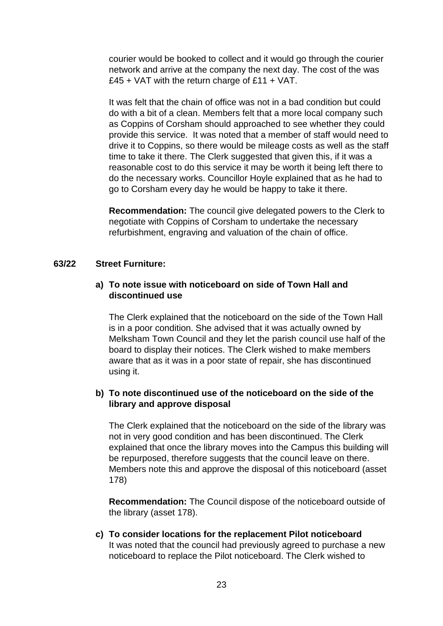courier would be booked to collect and it would go through the courier network and arrive at the company the next day. The cost of the was £45 + VAT with the return charge of £11 + VAT.

It was felt that the chain of office was not in a bad condition but could do with a bit of a clean. Members felt that a more local company such as Coppins of Corsham should approached to see whether they could provide this service. It was noted that a member of staff would need to drive it to Coppins, so there would be mileage costs as well as the staff time to take it there. The Clerk suggested that given this, if it was a reasonable cost to do this service it may be worth it being left there to do the necessary works. Councillor Hoyle explained that as he had to go to Corsham every day he would be happy to take it there.

**Recommendation:** The council give delegated powers to the Clerk to negotiate with Coppins of Corsham to undertake the necessary refurbishment, engraving and valuation of the chain of office.

## **63/22 Street Furniture:**

## **a) To note issue with noticeboard on side of Town Hall and discontinued use**

The Clerk explained that the noticeboard on the side of the Town Hall is in a poor condition. She advised that it was actually owned by Melksham Town Council and they let the parish council use half of the board to display their notices. The Clerk wished to make members aware that as it was in a poor state of repair, she has discontinued using it.

# **b) To note discontinued use of the noticeboard on the side of the library and approve disposal**

The Clerk explained that the noticeboard on the side of the library was not in very good condition and has been discontinued. The Clerk explained that once the library moves into the Campus this building will be repurposed, therefore suggests that the council leave on there. Members note this and approve the disposal of this noticeboard (asset 178)

**Recommendation:** The Council dispose of the noticeboard outside of the library (asset 178).

**c) To consider locations for the replacement Pilot noticeboard**  It was noted that the council had previously agreed to purchase a new noticeboard to replace the Pilot noticeboard. The Clerk wished to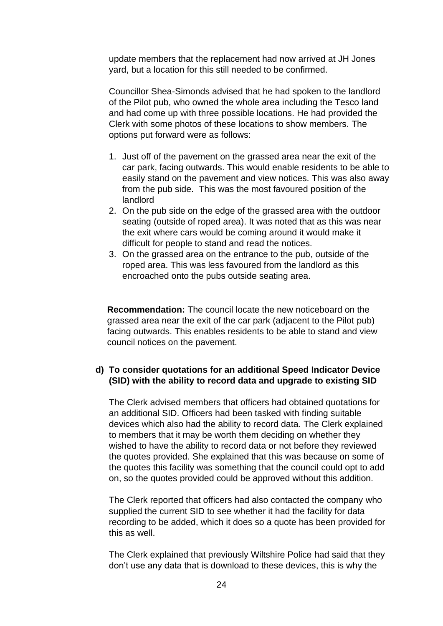update members that the replacement had now arrived at JH Jones yard, but a location for this still needed to be confirmed.

Councillor Shea-Simonds advised that he had spoken to the landlord of the Pilot pub, who owned the whole area including the Tesco land and had come up with three possible locations. He had provided the Clerk with some photos of these locations to show members. The options put forward were as follows:

- 1. Just off of the pavement on the grassed area near the exit of the car park, facing outwards. This would enable residents to be able to easily stand on the pavement and view notices. This was also away from the pub side. This was the most favoured position of the landlord
- 2. On the pub side on the edge of the grassed area with the outdoor seating (outside of roped area). It was noted that as this was near the exit where cars would be coming around it would make it difficult for people to stand and read the notices.
- 3. On the grassed area on the entrance to the pub, outside of the roped area. This was less favoured from the landlord as this encroached onto the pubs outside seating area.

**Recommendation:** The council locate the new noticeboard on the grassed area near the exit of the car park (adjacent to the Pilot pub) facing outwards. This enables residents to be able to stand and view council notices on the pavement.

# **d) To consider quotations for an additional Speed Indicator Device (SID) with the ability to record data and upgrade to existing SID**

The Clerk advised members that officers had obtained quotations for an additional SID. Officers had been tasked with finding suitable devices which also had the ability to record data. The Clerk explained to members that it may be worth them deciding on whether they wished to have the ability to record data or not before they reviewed the quotes provided. She explained that this was because on some of the quotes this facility was something that the council could opt to add on, so the quotes provided could be approved without this addition.

The Clerk reported that officers had also contacted the company who supplied the current SID to see whether it had the facility for data recording to be added, which it does so a quote has been provided for this as well.

The Clerk explained that previously Wiltshire Police had said that they don't use any data that is download to these devices, this is why the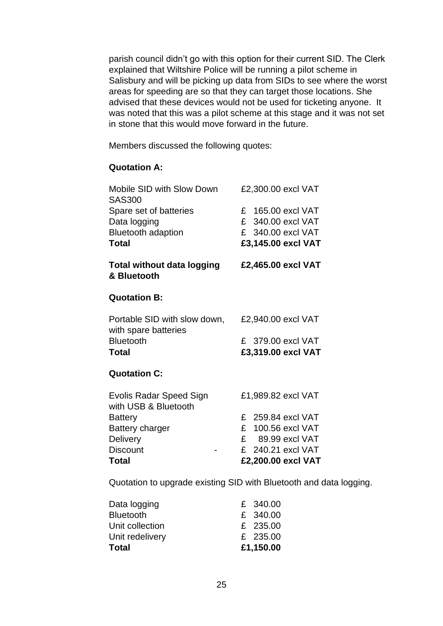parish council didn't go with this option for their current SID. The Clerk explained that Wiltshire Police will be running a pilot scheme in Salisbury and will be picking up data from SIDs to see where the worst areas for speeding are so that they can target those locations. She advised that these devices would not be used for ticketing anyone. It was noted that this was a pilot scheme at this stage and it was not set in stone that this would move forward in the future.

Members discussed the following quotes:

# **Quotation A:**

| Mobile SID with Slow Down<br><b>SAS300</b>             | £2,300.00 excl VAT  |
|--------------------------------------------------------|---------------------|
| Spare set of batteries                                 | £ 165.00 excl VAT   |
| Data logging                                           | £ 340.00 excl VAT   |
| <b>Bluetooth adaption</b>                              | £ 340.00 excl VAT   |
| <b>Total</b>                                           | £3,145.00 excl VAT  |
| <b>Total without data logging</b><br>& Bluetooth       | £2,465.00 excl VAT  |
| <b>Quotation B:</b>                                    |                     |
| Portable SID with slow down,<br>with spare batteries   | £2,940.00 excl VAT  |
| <b>Bluetooth</b>                                       | £ 379.00 excl VAT   |
| Total                                                  | £3,319.00 excl VAT  |
| <b>Quotation C:</b>                                    |                     |
| <b>Evolis Radar Speed Sign</b><br>with USB & Bluetooth | £1,989.82 excl VAT  |
| <b>Battery</b>                                         | £ 259.84 excl VAT   |
| <b>Battery charger</b>                                 | £ 100.56 excl VAT   |
| <b>Delivery</b>                                        | E<br>89.99 excl VAT |
| <b>Discount</b>                                        | £ 240.21 excl VAT   |
| Total                                                  | £2,200.00 excl VAT  |
|                                                        |                     |

Quotation to upgrade existing SID with Bluetooth and data logging.

| Data logging     | £ 340.00  |
|------------------|-----------|
| <b>Bluetooth</b> | £ 340.00  |
| Unit collection  | £ 235.00  |
| Unit redelivery  | £ 235.00  |
| Total            | £1,150.00 |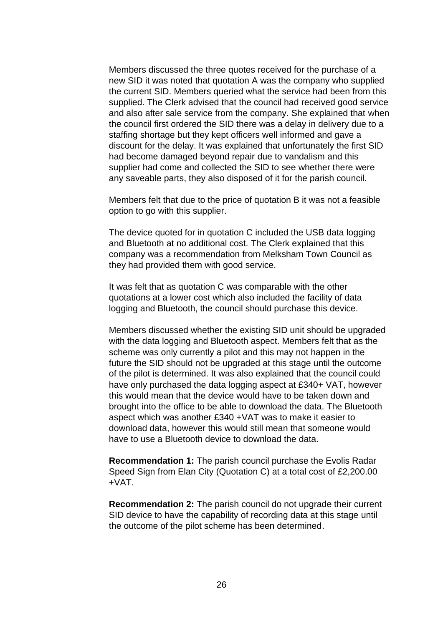Members discussed the three quotes received for the purchase of a new SID it was noted that quotation A was the company who supplied the current SID. Members queried what the service had been from this supplied. The Clerk advised that the council had received good service and also after sale service from the company. She explained that when the council first ordered the SID there was a delay in delivery due to a staffing shortage but they kept officers well informed and gave a discount for the delay. It was explained that unfortunately the first SID had become damaged beyond repair due to vandalism and this supplier had come and collected the SID to see whether there were any saveable parts, they also disposed of it for the parish council.

Members felt that due to the price of quotation B it was not a feasible option to go with this supplier.

The device quoted for in quotation C included the USB data logging and Bluetooth at no additional cost. The Clerk explained that this company was a recommendation from Melksham Town Council as they had provided them with good service.

It was felt that as quotation C was comparable with the other quotations at a lower cost which also included the facility of data logging and Bluetooth, the council should purchase this device.

Members discussed whether the existing SID unit should be upgraded with the data logging and Bluetooth aspect. Members felt that as the scheme was only currently a pilot and this may not happen in the future the SID should not be upgraded at this stage until the outcome of the pilot is determined. It was also explained that the council could have only purchased the data logging aspect at £340+ VAT, however this would mean that the device would have to be taken down and brought into the office to be able to download the data. The Bluetooth aspect which was another £340 +VAT was to make it easier to download data, however this would still mean that someone would have to use a Bluetooth device to download the data.

**Recommendation 1:** The parish council purchase the Evolis Radar Speed Sign from Elan City (Quotation C) at a total cost of £2,200.00 +VAT.

**Recommendation 2:** The parish council do not upgrade their current SID device to have the capability of recording data at this stage until the outcome of the pilot scheme has been determined.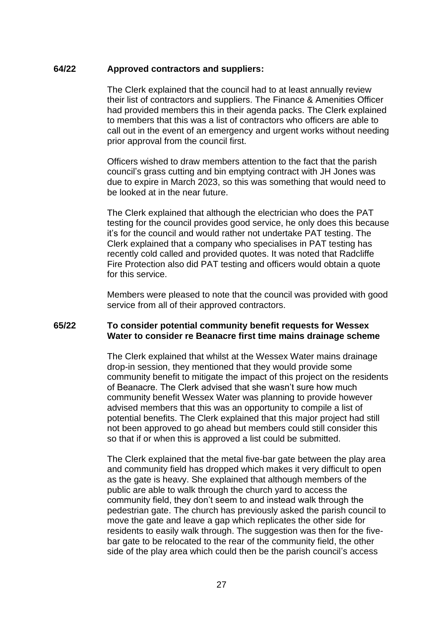### **64/22 Approved contractors and suppliers:**

The Clerk explained that the council had to at least annually review their list of contractors and suppliers. The Finance & Amenities Officer had provided members this in their agenda packs. The Clerk explained to members that this was a list of contractors who officers are able to call out in the event of an emergency and urgent works without needing prior approval from the council first.

Officers wished to draw members attention to the fact that the parish council's grass cutting and bin emptying contract with JH Jones was due to expire in March 2023, so this was something that would need to be looked at in the near future.

The Clerk explained that although the electrician who does the PAT testing for the council provides good service, he only does this because it's for the council and would rather not undertake PAT testing. The Clerk explained that a company who specialises in PAT testing has recently cold called and provided quotes. It was noted that Radcliffe Fire Protection also did PAT testing and officers would obtain a quote for this service.

Members were pleased to note that the council was provided with good service from all of their approved contractors.

### **65/22 To consider potential community benefit requests for Wessex Water to consider re Beanacre first time mains drainage scheme**

The Clerk explained that whilst at the Wessex Water mains drainage drop-in session, they mentioned that they would provide some community benefit to mitigate the impact of this project on the residents of Beanacre. The Clerk advised that she wasn't sure how much community benefit Wessex Water was planning to provide however advised members that this was an opportunity to compile a list of potential benefits. The Clerk explained that this major project had still not been approved to go ahead but members could still consider this so that if or when this is approved a list could be submitted.

The Clerk explained that the metal five-bar gate between the play area and community field has dropped which makes it very difficult to open as the gate is heavy. She explained that although members of the public are able to walk through the church yard to access the community field, they don't seem to and instead walk through the pedestrian gate. The church has previously asked the parish council to move the gate and leave a gap which replicates the other side for residents to easily walk through. The suggestion was then for the fivebar gate to be relocated to the rear of the community field, the other side of the play area which could then be the parish council's access